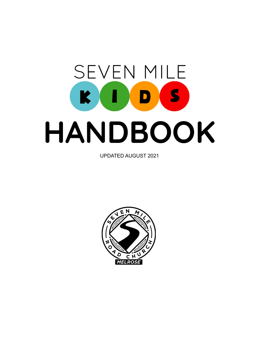# **SEVEN MILE** KIDS **HANDBOOK**

UPDATED AUGUST 2021

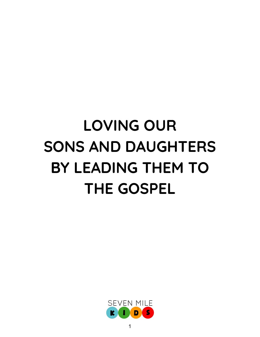# **LOVING OUR SONS AND DAUGHTERS BY LEADING THEM TO THE GOSPEL**

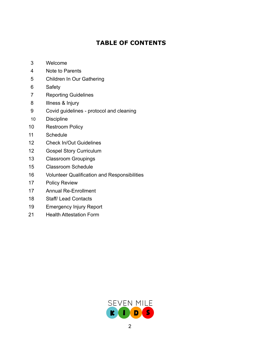# **TABLE OF CONTENTS**

- Welcome
- Note to Parents
- Children In Our Gathering
- Safety
- Reporting Guidelines
- Illness & Injury
- Covid guidelines protocol and cleaning
- Discipline
- Restroom Policy
- Schedule
- Check In/Out Guidelines
- Gospel Story Curriculum
- Classroom Groupings
- Classroom Schedule
- Volunteer Qualification and Responsibilities
- Policy Review
- Annual Re-Enrollment
- Staff/ Lead Contacts
- Emergency Injury Report
- Health Attestation Form

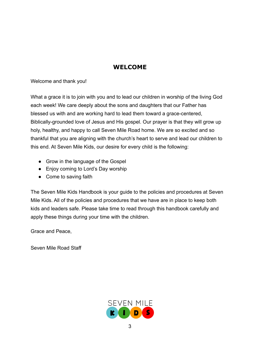# **WELCOME**

Welcome and thank you!

What a grace it is to join with you and to lead our children in worship of the living God each week! We care deeply about the sons and daughters that our Father has blessed us with and are working hard to lead them toward a grace-centered, Biblically-grounded love of Jesus and His gospel. Our prayer is that they will grow up holy, healthy, and happy to call Seven Mile Road home. We are so excited and so thankful that you are aligning with the church's heart to serve and lead our children to this end. At Seven Mile Kids, our desire for every child is the following:

- Grow in the language of the Gospel
- Enjoy coming to Lord's Day worship
- Come to saving faith

The Seven Mile Kids Handbook is your guide to the policies and procedures at Seven Mile Kids. All of the policies and procedures that we have are in place to keep both kids and leaders safe. Please take time to read through this handbook carefully and apply these things during your time with the children.

Grace and Peace,

Seven Mile Road Staff

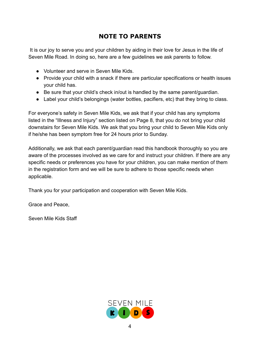# **NOTE TO PARENTS**

It is our joy to serve you and your children by aiding in their love for Jesus in the life of Seven Mile Road. In doing so, here are a few guidelines we ask parents to follow.

- Volunteer and serve in Seven Mile Kids.
- Provide your child with a snack if there are particular specifications or health issues your child has.
- Be sure that your child's check in/out is handled by the same parent/guardian.
- Label your child's belongings (water bottles, pacifiers, etc) that they bring to class.

For everyone's safety in Seven Mile Kids, we ask that if your child has any symptoms listed in the "Illness and Injury" section listed on Page 8, that you do not bring your child downstairs for Seven Mile Kids. We ask that you bring your child to Seven Mile Kids only if he/she has been symptom free for 24 hours prior to Sunday.

Additionally, we ask that each parent/guardian read this handbook thoroughly so you are aware of the processes involved as we care for and instruct your children. If there are any specific needs or preferences you have for your children, you can make mention of them in the registration form and we will be sure to adhere to those specific needs when applicable.

Thank you for your participation and cooperation with Seven Mile Kids.

Grace and Peace,

Seven Mile Kids Staff

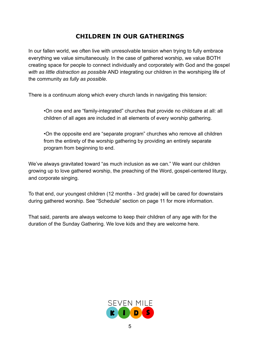# **CHILDREN IN OUR GATHERINGS**

In our fallen world, we often live with unresolvable tension when trying to fully embrace everything we value simultaneously. In the case of gathered worship, we value BOTH creating space for people to connect individually and corporately with God and the gospel *with as little distraction as possible* AND integrating our children in the worshiping life of the community *as fully as possible*.

There is a continuum along which every church lands in navigating this tension:

•On one end are "family-integrated" churches that provide no childcare at all: all children of all ages are included in all elements of every worship gathering.

•On the opposite end are "separate program" churches who remove all children from the entirety of the worship gathering by providing an entirely separate program from beginning to end.

We've always gravitated toward "as much inclusion as we can." We want our children growing up to love gathered worship, the preaching of the Word, gospel-centered liturgy, and corporate singing.

To that end, our youngest children (12 months - 3rd grade) will be cared for downstairs during gathered worship. See "Schedule" section on page 11 for more information.

That said, parents are always welcome to keep their children of any age with for the duration of the Sunday Gathering. We love kids and they are welcome here.

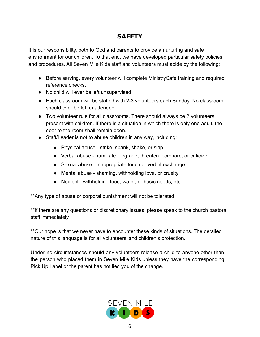# **SAFETY**

It is our responsibility, both to God and parents to provide a nurturing and safe environment for our children. To that end, we have developed particular safety policies and procedures. All Seven Mile Kids staff and volunteers must abide by the following:

- Before serving, every volunteer will complete MinistrySafe training and required reference checks.
- No child will ever be left unsupervised.
- Each classroom will be staffed with 2-3 volunteers each Sunday. No classroom should ever be left unattended.
- Two volunteer rule for all classrooms. There should always be 2 volunteers present with children. If there is a situation in which there is only one adult, the door to the room shall remain open.
- Staff/Leader is not to abuse children in any way, including:
	- Physical abuse strike, spank, shake, or slap
	- Verbal abuse humiliate, degrade, threaten, compare, or criticize
	- Sexual abuse inappropriate touch or verbal exchange
	- Mental abuse shaming, withholding love, or cruelty
	- Neglect withholding food, water, or basic needs, etc.

\*\*Any type of abuse or corporal punishment will not be tolerated.

\*\*If there are any questions or discretionary issues, please speak to the church pastoral staff immediately.

\*\*Our hope is that we never have to encounter these kinds of situations. The detailed nature of this language is for all volunteers' and children's protection.

Under no circumstances should any volunteers release a child to anyone other than the person who placed them in Seven Mile Kids unless they have the corresponding Pick Up Label or the parent has notified you of the change.

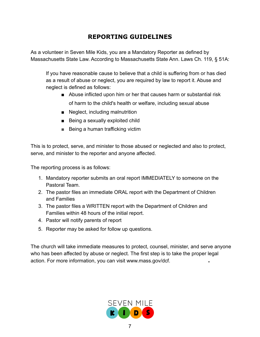# **REPORTING GUIDELINES**

As a volunteer in Seven Mile Kids, you are a Mandatory Reporter as defined by Massachusetts State Law. According to Massachusetts State Ann. Laws Ch. 119, § 51A:

If you have reasonable cause to believe that a child is suffering from or has died as a result of abuse or neglect, you are required by law to report it. Abuse and neglect is defined as follows:

- Abuse inflicted upon him or her that causes harm or substantial risk of harm to the child's health or welfare, including sexual abuse
- Neglect, including malnutrition
- Being a sexually exploited child
- Being a human trafficking victim

This is to protect, serve, and minister to those abused or neglected and also to protect, serve, and minister to the reporter and anyone affected.

The reporting process is as follows:

- 1. Mandatory reporter submits an oral report IMMEDIATELY to someone on the Pastoral Team.
- 2. The pastor files an immediate ORAL report with the Department of Children and Families
- 3. The pastor files a WRITTEN report with the Department of Children and Families within 48 hours of the initial report.
- 4. Pastor will notify parents of report
- 5. Reporter may be asked for follow up questions.

The church will take immediate measures to protect, counsel, minister, and serve anyone who has been affected by abuse or neglect. The first step is to take the proper legal action. For more information, you can visit [www.mass.gov/dcf.](http://www.mass.gov/dcf)

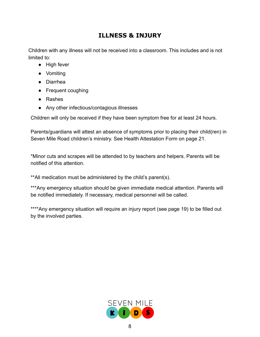# **ILLNESS & INJURY**

Children with any illness will not be received into a classroom. This includes and is not limited to:

- High fever
- Vomiting
- Diarrhea
- Frequent coughing
- Rashes
- Any other infectious/contagious illnesses

Children will only be received if they have been symptom free for at least 24 hours.

Parents/guardians will attest an absence of symptoms prior to placing their child(ren) in Seven Mile Road children's ministry. See Health Attestation Form on page 21.

\*Minor cuts and scrapes will be attended to by teachers and helpers. Parents will be notified of this attention.

\*\*All medication must be administered by the child's parent(s).

\*\*\*Any emergency situation should be given immediate medical attention. Parents will be notified immediately. If necessary, medical personnel will be called.

\*\*\*\*Any emergency situation will require an injury report (see page 19) to be filled out by the involved parties.

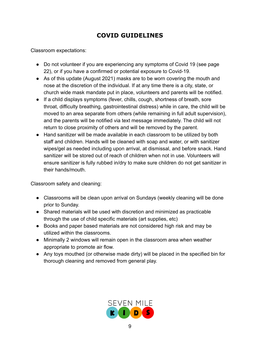# **COVID GUIDELINES**

Classroom expectations:

- Do not volunteer if you are experiencing any symptoms of Covid 19 (see page 22), or if you have a confirmed or potential exposure to Covid-19.
- As of this update (August 2021) masks are to be worn covering the mouth and nose at the discretion of the individual. If at any time there is a city, state, or church wide mask mandate put in place, volunteers and parents will be notified.
- If a child displays symptoms (fever, chills, cough, shortness of breath, sore throat, difficulty breathing, gastrointestinal distress) while in care, the child will be moved to an area separate from others (while remaining in full adult supervision), and the parents will be notified via text message immediately. The child will not return to close proximity of others and will be removed by the parent.
- Hand sanitizer will be made available in each classroom to be utilized by both staff and children. Hands will be cleaned with soap and water, or with sanitizer wipes/gel as needed including upon arrival, at dismissal, and before snack. Hand sanitizer will be stored out of reach of children when not in use. Volunteers will ensure sanitizer is fully rubbed in/dry to make sure children do not get sanitizer in their hands/mouth.

Classroom safety and cleaning:

- Classrooms will be clean upon arrival on Sundays (weekly cleaning will be done prior to Sunday.
- Shared materials will be used with discretion and minimized as practicable through the use of child specific materials (art supplies, etc)
- Books and paper based materials are not considered high risk and may be utilized within the classrooms.
- Minimally 2 windows will remain open in the classroom area when weather appropriate to promote air flow.
- Any toys mouthed (or otherwise made dirty) will be placed in the specified bin for thorough cleaning and removed from general play.

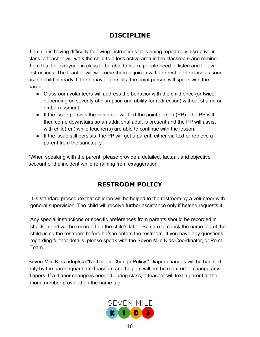# **DISCIPLINE**

If a child is having difficulty following instructions or is being repeatedly disruptive in class, a teacher will walk the child to a less active area in the classroom and remind them that for everyone in class to be able to learn, people need to listen and follow instructions. The teacher will welcome them to join in with the rest of the class as soon as the child is ready. If the behavior persists, the point person will speak with the parent.

- Classroom volunteers will address the behavior with the child once (or twice depending on severity of disruption and ability for redirection) without shame or embarrassment.
- If the issue persists the volunteer will text the point person (PP). The PP will then come downstairs so an additional adult is present and the PP will assist with child(ren) while teacher(s) are able to continue with the lesson.
- If the issue still persists, the PP will get a parent, either via text or retrieve a parent from the sanctuary.

\*When speaking with the parent, please provide a detailed, factual, and objective account of the incident while refraining from exaggeration

# **RESTROOM POLICY**

It is standard procedure that children will be helped to the restroom by a volunteer with general supervision. The child will receive further assistance only if he/she requests it.

Any special instructions or specific preferences from parents should be recorded in check-in and will be recorded on the child's label. Be sure to check the name tag of the child using the restroom before he/she enters the restroom. If you have any questions regarding further details, please speak with the Seven Mile Kids Coordinator, or Point Team.

Seven Mile Kids adopts a "No Diaper Change Policy." Diaper changes will be handled only by the parent/guardian. Teachers and helpers will not be required to change any diapers. If a diaper change is needed during class, a teacher will text a parent at the phone number provided on the name tag.

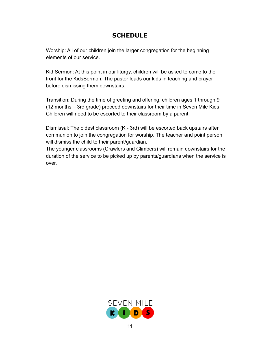# **SCHEDULE**

Worship: All of our children join the larger congregation for the beginning elements of our service.

Kid Sermon: At this point in our liturgy, children will be asked to come to the front for the KidsSermon. The pastor leads our kids in teaching and prayer before dismissing them downstairs.

Transition: During the time of greeting and offering, children ages 1 through 9 (12 months – 3rd grade) proceed downstairs for their time in Seven Mile Kids. Children will need to be escorted to their classroom by a parent.

Dismissal: The oldest classroom (K - 3rd) will be escorted back upstairs after communion to join the congregation for worship. The teacher and point person will dismiss the child to their parent/guardian.

The younger classrooms (Crawlers and Climbers) will remain downstairs for the duration of the service to be picked up by parents/guardians when the service is over.

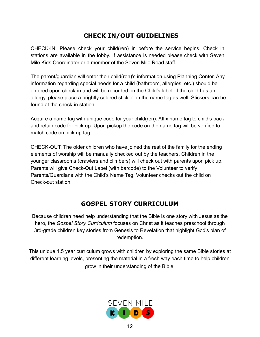# **CHECK IN/OUT GUIDELINES**

CHECK-IN: Please check your child(ren) in before the service begins. Check in stations are available in the lobby. If assistance is needed please check with Seven Mile Kids Coordinator or a member of the Seven Mile Road staff.

The parent/guardian will enter their child(ren)'s information using Planning Center. Any information regarding special needs for a child (bathroom, allergies, etc.) should be entered upon check-in and will be recorded on the Child's label. If the child has an allergy, please place a brightly colored sticker on the name tag as well. Stickers can be found at the check-in station.

Acquire a name tag with unique code for your child(ren). Affix name tag to child's back and retain code for pick up. Upon pickup the code on the name tag will be verified to match code on pick up tag.

CHECK-OUT: The older children who have joined the rest of the family for the ending elements of worship will be manually checked out by the teachers. Children in the younger classrooms (crawlers and climbers) will check out with parents upon pick up. Parents will give Check-Out Label (with barcode) to the Volunteer to verify Parents/Guardians with the Child's Name Tag. Volunteer checks out the child on Check-out station.

## **GOSPEL STORY CURRICULUM**

Because children need help understanding that the Bible is one story with Jesus as the hero, the *Gospel Story Curriculum* focuses on Christ as it teaches preschool through 3rd-grade children key stories from Genesis to Revelation that highlight God's plan of redemption.

This unique 1.5 year curriculum grows with children by exploring the same Bible stories at different learning levels, presenting the material in a fresh way each time to help children grow in their understanding of the Bible.

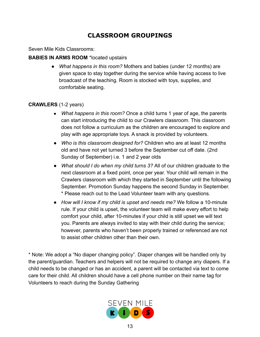# **CLASSROOM GROUPINGS**

Seven Mile Kids Classrooms:

#### **BABIES IN ARMS ROOM** \*located upstairs

● *What happens in this room?* Mothers and babies (under 12 months) are given space to stay together during the service while having access to live broadcast of the teaching. Room is stocked with toys, supplies, and comfortable seating.

#### **CRAWLERS** (1-2 years)

- *What happens in this room?* Once a child turns 1 year of age, the parents can start introducing the child to our Crawlers classroom. This classroom does not follow a curriculum as the children are encouraged to explore and play with age appropriate toys. A snack is provided by volunteers.
- *● Who is this classroom designed for?* Children who are at least 12 months old and have not yet turned 3 before the September cut off date. (2nd Sunday of September) i.e. 1 and 2 year olds
- *● What should I do when my child turns 3?* All of our children graduate to the next classroom at a fixed point, once per year. Your child will remain in the Crawlers classroom with which they started in September until the following September. Promotion Sunday happens the second Sunday in September. \* Please reach out to the Lead Volunteer team with any questions.
- *● How will I know if my child is upset and needs me?* We follow a 10-minute rule. If your child is upset, the volunteer team will make every effort to help comfort your child, after 10-minutes if your child is still upset we will text you. Parents are always invited to stay with their child during the service; however, parents who haven't been properly trained or referenced are not to assist other children other than their own.

\* Note: We adopt a "No diaper changing policy". Diaper changes will be handled only by the parent/guardian. Teachers and helpers will not be required to change any diapers. If a child needs to be changed or has an accident, a parent will be contacted via text to come care for their child. All children should have a cell phone number on their name tag for Volunteers to reach during the Sunday Gathering

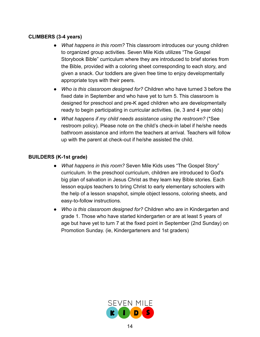#### **CLIMBERS (3-4 years)**

- *What happens in this room?* This classroom introduces our young children to organized group activities. Seven Mile Kids utilizes "The Gospel Storybook Bible" curriculum where they are introduced to brief stories from the Bible, provided with a coloring sheet corresponding to each story, and given a snack. Our toddlers are given free time to enjoy developmentally appropriate toys with their peers.
- *Who is this classroom designed for?* Children who have turned 3 before the fixed date in September and who have yet to turn 5. This classroom is designed for preschool and pre-K aged children who are developmentally ready to begin participating in curricular activities. (ie, 3 and 4 year olds)
- *● What happens if my child needs assistance using the restroom?* (\*See restroom policy). Please note on the child's check-in label if he/she needs bathroom assistance and inform the teachers at arrival. Teachers will follow up with the parent at check-out if he/she assisted the child.

#### **BUILDERS (K-1st grade)**

- *What happens in this room?* Seven Mile Kids uses "The Gospel Story" curriculum. In the preschool curriculum, children are introduced to God's big plan of salvation in Jesus Christ as they learn key Bible stories. Each lesson equips teachers to bring Christ to early elementary schoolers with the help of a lesson snapshot, simple object lessons, coloring sheets, and easy-to-follow instructions.
- *Who is this classroom designed for?* Children who are in Kindergarten and grade 1. Those who have started kindergarten or are at least 5 years of age but have yet to turn 7 at the fixed point in September (2nd Sunday) on Promotion Sunday. (ie, Kindergarteners and 1st graders)

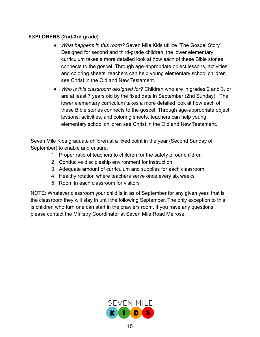#### **EXPLORERS (2nd-3rd grade)**

- *What happens in this room?* Seven Mile Kids utilize "The Gospel Story" Designed for second and third-grade children, the lower elementary curriculum takes a more detailed look at how each of these Bible stories connects to the gospel. Through age-appropriate object lessons, activities, and coloring sheets, teachers can help young elementary school children see Christ in the Old and New Testament.
- *Who is this classroom designed for?* Children who are in grades 2 and 3, or are at least 7 years old by the fixed date in September (2nd Sunday). The lower elementary curriculum takes a more detailed look at how each of these Bible stories connects to the gospel. Through age-appropriate object lessons, activities, and coloring sheets, teachers can help young elementary school children see Christ in the Old and New Testament.

Seven Mile Kids graduate children at a fixed point in the year (Second Sunday of September) to enable and ensure:

- 1. Proper ratio of teachers to children for the safety of our children
- 2. Conducive discipleship environment for instruction
- 3. Adequate amount of curriculum and supplies for each classroom
- 4. Healthy rotation where teachers serve once every six weeks
- 5. Room in each classroom for visitors

NOTE: Whatever classroom your child is in as of September for any given year, that is the classroom they will stay in until the following September. The only exception to this is children who turn one can start in the crawlers room. If you have any questions, please contact the Ministry Coordinator at Seven Mile Road Melrose.

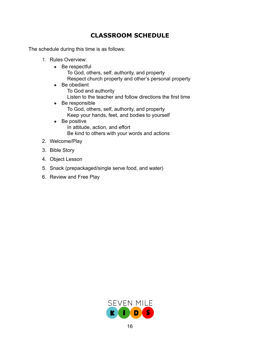# **CLASSROOM SCHEDULE**

The schedule during this time is as follows:

- 1. Rules Overview:
	- $\bullet$  Be respectful To God, others, self, authority, and property Respect church property and other's personal property
	- Be obedient To God and authority Listen to the teacher and follow directions the first time
	- Be responsible To God, others, self, authority, and property Keep your hands, feet, and bodies to yourself
	- Be positive In attitude, action, and effort Be kind to others with your words and actions
- 2. Welcome/Play
- 3. Bible Story
- 4. Object Lesson
- 5. Snack (prepackaged/single serve food, and water)
- 6. Review and Free Play

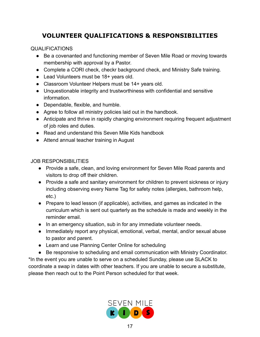# **VOLUNTEER QUALIFICATIONS & RESPONSIBILITIES**

#### QUALIFICATIONS

- Be a covenanted and functioning member of Seven Mile Road or moving towards membership with approval by a Pastor.
- Complete a CORI check, checkr background check, and Ministry Safe training.
- Lead Volunteers must be 18+ years old.
- Classroom Volunteer Helpers must be 14+ years old.
- Unquestionable integrity and trustworthiness with confidential and sensitive information.
- Dependable, flexible, and humble.
- Agree to follow all ministry policies laid out in the handbook.
- Anticipate and thrive in rapidly changing environment requiring frequent adjustment of job roles and duties.
- Read and understand this Seven Mile Kids handbook
- Attend annual teacher training in August

#### JOB RESPONSIBILITIES

- Provide a safe, clean, and loving environment for Seven Mile Road parents and visitors to drop off their children.
- Provide a safe and sanitary environment for children to prevent sickness or injury including observing every Name Tag for safety notes (allergies, bathroom help, etc.)
- Prepare to lead lesson (if applicable), activities, and games as indicated in the curriculum which is sent out quarterly as the schedule is made and weekly in the reminder email.
- In an emergency situation, sub in for any immediate volunteer needs.
- Immediately report any physical, emotional, verbal, mental, and/or sexual abuse to pastor and parent.
- Learn and use Planning Center Online for scheduling
- Be responsive to scheduling and email communication with Ministry Coordinator. \*In the event you are unable to serve on a scheduled Sunday, please use SLACK to coordinate a swap in dates with other teachers. If you are unable to secure a substitute,

please then reach out to the Point Person scheduled for that week.

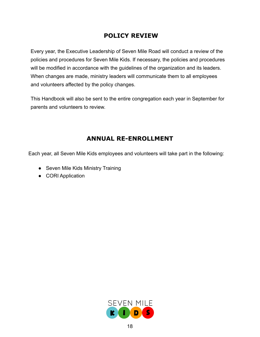# **POLICY REVIEW**

Every year, the Executive Leadership of Seven Mile Road will conduct a review of the policies and procedures for Seven Mile Kids. If necessary, the policies and procedures will be modified in accordance with the guidelines of the organization and its leaders. When changes are made, ministry leaders will communicate them to all employees and volunteers affected by the policy changes.

This Handbook will also be sent to the entire congregation each year in September for parents and volunteers to review.

# **ANNUAL RE-ENROLLMENT**

Each year, all Seven Mile Kids employees and volunteers will take part in the following:

- Seven Mile Kids Ministry Training
- CORI Application

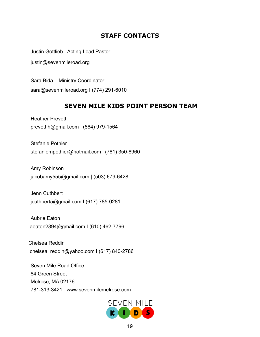# **STAFF CONTACTS**

Justin Gottlieb - Acting Lead Pastor

justi[n@sevenmileroad.org](mailto:kruse@sevenmileroad.org)

Sara Bida – Ministry Coordinator sara[@sevenmileroad.org](mailto:heather@sevenmileroad.org) I (774) 291-6010

## **SEVEN MILE KIDS POINT PERSON TEAM**

Heather Prevett prevett.h[@gmail.com](mailto:margaretkruse@yahoo.com) | (864) 979-1564

Stefanie Pothier [stefaniempothier@hotmail.com](mailto:stefaniempothier@hotmail.com) | (781) 350-8960

Amy Robinson jacobamy555[@gmail.com](mailto:sara.bida@gmail.com) | (503) 679-6428

Jenn Cuthbert jcuthbert5@gmail.com I (617) 785-0281

Aubrie Eaton aeaton2894@gmail.com I (610) 462-7796

Chelsea Reddin chelsea\_reddin@yahoo.com I (617) 840-2786

Seven Mile Road Office: 84 Green Street Melrose, MA 02176 781-313-3421 www.sevenmilemelrose.com

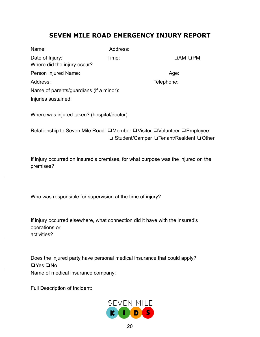# **SEVEN MILE ROAD EMERGENCY INJURY REPORT**

| Name:                                          | Address: |                     |
|------------------------------------------------|----------|---------------------|
| Date of Injury:<br>Where did the injury occur? | Time:    | $\Box$ AM $\Box$ PM |
| Person Injured Name:                           |          | Age:                |
| Address:                                       |          | Telephone:          |
| Name of parents/guardians (if a minor):        |          |                     |
| Injuries sustained:                            |          |                     |

Where was injured taken? (hospital/doctor):

Relationship to Seven Mile Road: **Q**Member QVisitor QVolunteer QEmployee ❏ Student/Camper ❏Tenant/Resident ❏Other

If injury occurred on insured's premises, for what purpose was the injured on the premises?

Who was responsible for supervision at the time of injury?

If injury occurred elsewhere, what connection did it have with the insured's operations or activities?

Does the injured party have personal medical insurance that could apply? ❏Yes ❏No Name of medical insurance company:

Full Description of Incident:

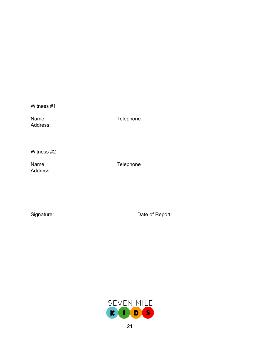Witness #1

 $\sim$ 

 $\bar{z}$ 

 $\sim$ 

Address:

Name Telephone

Witness #2

Address:

Name Telephone

Signature: \_\_\_\_\_\_\_\_\_\_\_\_\_\_\_\_\_\_\_\_\_\_\_\_\_\_ Date of Report: \_\_\_\_\_\_\_\_\_\_\_\_\_\_\_\_